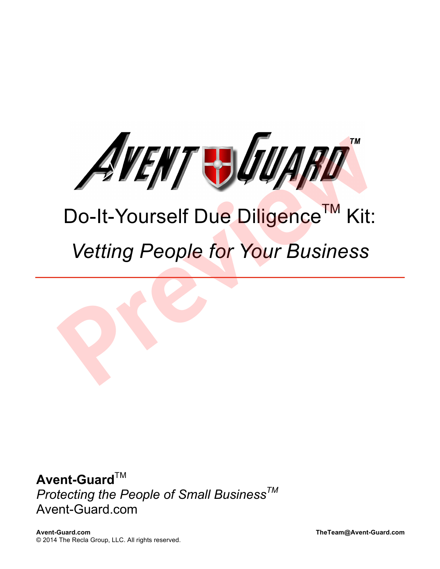

# Do-It-Yourself Due Diligence™ Kit: *Vetting People for Your Business*

**Avent-Guard**™ *Protecting the People of Small BusinessTM* Avent-Guard.com

**Avent-Guard.com TheTeam@Avent-Guard.com** © 2014 The Recla Group, LLC. All rights reserved.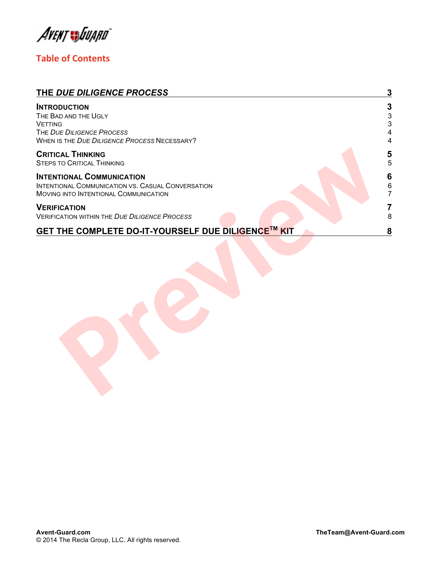Avent Juiard

### **Table of Contents**

| THE DUE DILIGENCE PROCESS                                                                                                                  | 3                            |
|--------------------------------------------------------------------------------------------------------------------------------------------|------------------------------|
| <b>INTRODUCTION</b><br>THE BAD AND THE UGLY<br><b>VETTING</b><br>THE DUE DILIGENCE PROCESS<br>WHEN IS THE DUE DILIGENCE PROCESS NECESSARY? | 3<br>$\frac{3}{3}$<br>4<br>4 |
| <b>CRITICAL THINKING</b><br><b>STEPS TO CRITICAL THINKING</b>                                                                              | 5<br>5                       |
| <b>INTENTIONAL COMMUNICATION</b><br>INTENTIONAL COMMUNICATION VS. CASUAL CONVERSATION<br>MOVING INTO INTENTIONAL COMMUNICATION             | 6<br>6<br>7                  |
| <b>VERIFICATION</b><br><b>VERIFICATION WITHIN THE DUE DILIGENCE PROCESS</b>                                                                | 8                            |
| GET THE COMPLETE DO-IT-YOURSELF DUE DILIGENCE™ KIT                                                                                         | 8                            |
|                                                                                                                                            |                              |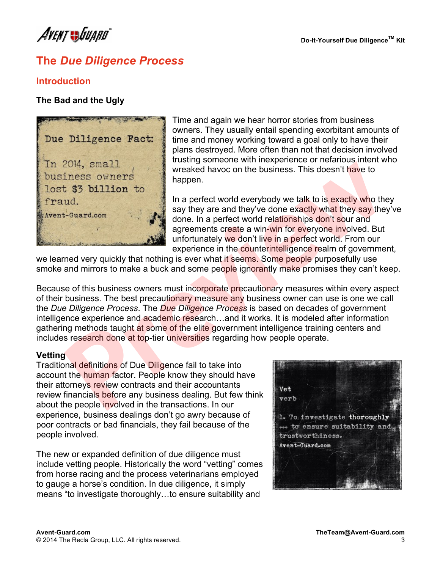AVENT JJJJJARD

## **The** *Due Diligence Process*

#### **Introduction**

#### **The Bad and the Ugly**



Time and again we hear horror stories from business owners. They usually entail spending exorbitant amounts of time and money working toward a goal only to have their plans destroyed. More often than not that decision involved trusting someone with inexperience or nefarious intent who wreaked havoc on the business. This doesn't have to happen.

In a perfect world everybody we talk to is exactly who they say they are and they've done exactly what they say they've done. In a perfect world relationships don't sour and agreements create a win-win for everyone involved. But unfortunately we don't live in a perfect world. From our experience in the counterintelligence realm of government,

we learned very quickly that nothing is ever what it seems. Some people purposefully use smoke and mirrors to make a buck and some people ignorantly make promises they can't keep.

Because of this business owners must incorporate precautionary measures within every aspect of their business. The best precautionary measure any business owner can use is one we call the *Due Diligence Process*. The *Due Diligence Process* is based on decades of government intelligence experience and academic research...and it works. It is modeled after information gathering methods taught at some of the elite government intelligence training centers and includes research done at top-tier universities regarding how people operate. 2014, small<br> **Presence of the system of the system of the system of the system of the system of the system of<br>
1.6 a perfect world everybody we talk to is exactly who the<br>
1.6 a perfect world everybody we talk to is exactl** 

#### **Vetting**

Traditional definitions of Due Diligence fail to take into account the human factor. People know they should have their attorneys review contracts and their accountants review financials before any business dealing. But few think about the people involved in the transactions. In our experience, business dealings don't go awry because of poor contracts or bad financials, they fail because of the people involved.

The new or expanded definition of due diligence must include vetting people. Historically the word "vetting" comes from horse racing and the process veterinarians employed to gauge a horse's condition. In due diligence, it simply means "to investigate thoroughly…to ensure suitability and

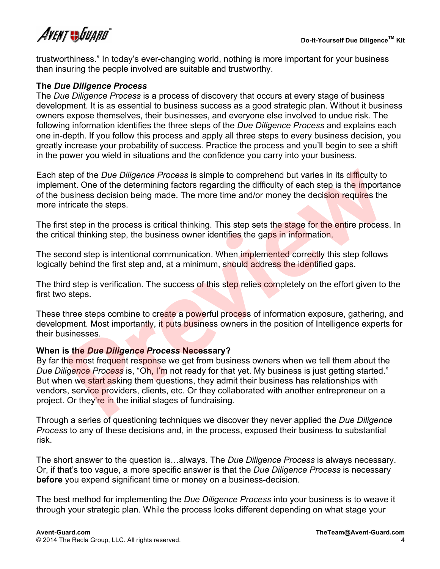

trustworthiness." In today's ever-changing world, nothing is more important for your business than insuring the people involved are suitable and trustworthy.

#### **The** *Due Diligence Process*

The *Due Diligence Process* is a process of discovery that occurs at every stage of business development. It is as essential to business success as a good strategic plan. Without it business owners expose themselves, their businesses, and everyone else involved to undue risk. The following information identifies the three steps of the *Due Diligence Process* and explains each one in-depth. If you follow this process and apply all three steps to every business decision, you greatly increase your probability of success. Practice the process and you'll begin to see a shift in the power you wield in situations and the confidence you carry into your business.

Each step of the *Due Diligence Process* is simple to comprehend but varies in its difficulty to implement. One of the determining factors regarding the difficulty of each step is the importance of the business decision being made. The more time and/or money the decision requires the more intricate the steps.

The first step in the process is critical thinking. This step sets the stage for the entire process. In the critical thinking step, the business owner identifies the gaps in information.

The second step is intentional communication. When implemented correctly this step follows logically behind the first step and, at a minimum, should address the identified gaps.

The third step is verification. The success of this step relies completely on the effort given to the first two steps.

These three steps combine to create a powerful process of information exposure, gathering, and development. Most importantly, it puts business owners in the position of Intelligence experts for their businesses.

#### **When is the** *Due Diligence Process* **Necessary?**

By far the most frequent response we get from business owners when we tell them about the *Due Diligence Process* is, "Oh, I'm not ready for that yet. My business is just getting started." But when we start asking them questions, they admit their business has relationships with vendors, service providers, clients, etc. Or they collaborated with another entrepreneur on a project. Or they're in the initial stages of fundraising. rep of the *Due Diligence Process* is simple to comprehend but varies in its difficulty to<br>ent. One of the determining factors regarding the difficulty of each step is the importar<br>ousness decision being made. The more tim

Through a series of questioning techniques we discover they never applied the *Due Diligence Process* to any of these decisions and, in the process, exposed their business to substantial risk.

The short answer to the question is…always. The *Due Diligence Process* is always necessary. Or, if that's too vague, a more specific answer is that the *Due Diligence Process* is necessary **before** you expend significant time or money on a business-decision.

The best method for implementing the *Due Diligence Process* into your business is to weave it through your strategic plan. While the process looks different depending on what stage your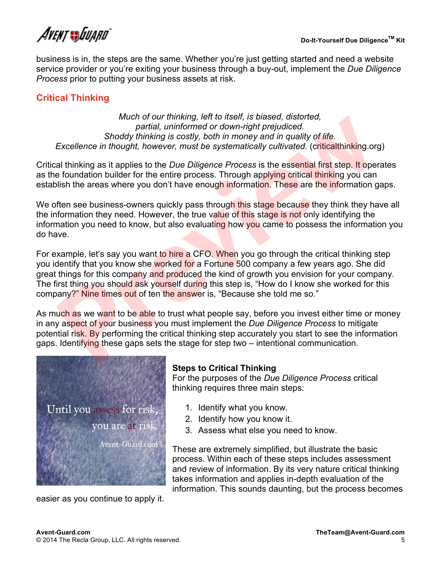AVENT SSUJJARD

business is in, the steps are the same. Whether you're just getting started and need a website service provider or you're exiting your business through a buy-out, implement the *Due Diligence Process* prior to putting your business assets at risk.

#### **Critical Thinking**

*Much of our thinking, left to itself, is biased, distorted, partial, uninformed or down-right prejudiced. Shoddy thinking is costly, both in money and in quality of life. Excellence in thought, however, must be systematically cultivated.* (criticalthinking.org)

Critical thinking as it applies to the *Due Diligence Process* is the essential first step. It operates as the foundation builder for the entire process. Through applying critical thinking you can establish the areas where you don't have enough information. These are the information gaps.

We often see business-owners quickly pass through this stage because they think they have all the information they need. However, the true value of this stage is not only identifying the information you need to know, but also evaluating how you came to possess the information you do have.

For example, let's say you want to hire a CFO. When you go through the critical thinking step you identify that you know she worked for a Fortune 500 company a few years ago. She did great things for this company and produced the kind of growth you envision for your company. The first thing you should ask yourself during this step is, "How do I know she worked for this company?" Nine times out of ten the answer is, "Because she told me so." much our miniting, ent to hisen, is based, anstored,<br> **Previde the state of the state of the state of the state of the state of the state of the state and thinking or<br>
Excellence in thought, however, must be systematically** 

As much as we want to be able to trust what people say, before you invest either time or money in any aspect of your business you must implement the *Due Diligence Process* to mitigate potential risk. By performing the critical thinking step accurately you start to see the information gaps. Identifying these gaps sets the stage for step two – intentional communication.



#### **Steps to Critical Thinking**

For the purposes of the *Due Diligence Process* critical thinking requires three main steps:

- 1. Identify what you know.
- 2. Identify how you know it.
- 3. Assess what else you need to know.

These are extremely simplified, but illustrate the basic process. Within each of these steps includes assessment and review of information. By its very nature critical thinking takes information and applies in-depth evaluation of the information. This sounds daunting, but the process becomes

easier as you continue to apply it.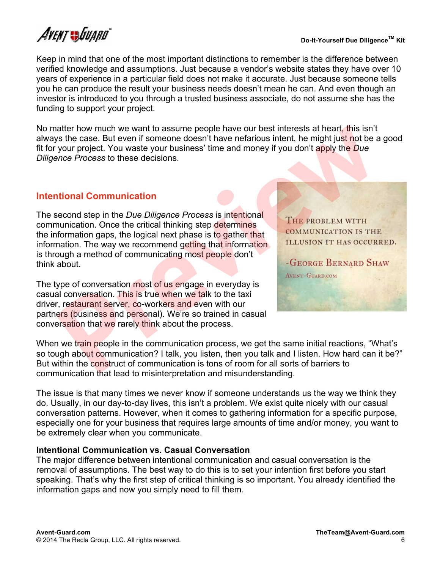AVENT SSUJJARD

Keep in mind that one of the most important distinctions to remember is the difference between verified knowledge and assumptions. Just because a vendor's website states they have over 10 years of experience in a particular field does not make it accurate. Just because someone tells you he can produce the result your business needs doesn't mean he can. And even though an investor is introduced to you through a trusted business associate, do not assume she has the funding to support your project.

No matter how much we want to assume people have our best interests at heart, this isn't always the case. But even if someone doesn't have nefarious intent, he might just not be a good fit for your project. You waste your business' time and money if you don't apply the *Due Diligence Process* to these decisions.

#### **Intentional Communication**

The second step in the *Due Diligence Process* is intentional communication. Once the critical thinking step determines the information gaps, the logical next phase is to gather that information. The way we recommend getting that information is through a method of communicating most people don't think about. matter how much we want to assume people have our best interests at heart, this isn't<br>syst he case. But even if someone doesn't have nefarious intent, he might just not be<br>your project. You waste your business time and mon

The type of conversation most of us engage in everyday is casual conversation. This is true when we talk to the taxi driver, restaurant server, co-workers and even with our partners (business and personal). We're so trained in casual conversation that we rarely think about the process.

When we train people in the communication process, we get the same initial reactions, "What's so tough about communication? I talk, you listen, then you talk and I listen. How hard can it be?" But within the construct of communication is tons of room for all sorts of barriers to communication that lead to misinterpretation and misunderstanding.

The issue is that many times we never know if someone understands us the way we think they do. Usually, in our day-to-day lives, this isn't a problem. We exist quite nicely with our casual conversation patterns. However, when it comes to gathering information for a specific purpose, especially one for your business that requires large amounts of time and/or money, you want to be extremely clear when you communicate.

#### **Intentional Communication vs. Casual Conversation**

The major difference between intentional communication and casual conversation is the removal of assumptions. The best way to do this is to set your intention first before you start speaking. That's why the first step of critical thinking is so important. You already identified the information gaps and now you simply need to fill them.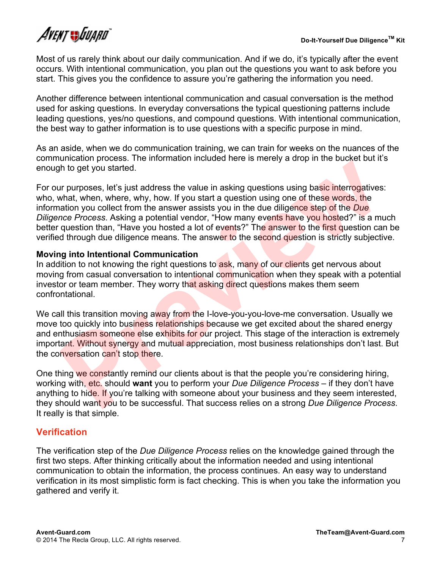Most of us rarely think about our daily communication. And if we do, it's typically after the event occurs. With intentional communication, you plan out the questions you want to ask before you start. This gives you the confidence to assure you're gathering the information you need.

Another difference between intentional communication and casual conversation is the method used for asking questions. In everyday conversations the typical questioning patterns include leading questions, yes/no questions, and compound questions. With intentional communication, the best way to gather information is to use questions with a specific purpose in mind.

As an aside, when we do communication training, we can train for weeks on the nuances of the communication process. The information included here is merely a drop in the bucket but it's enough to get you started.

For our purposes, let's just address the value in asking questions using basic interrogatives: who, what, when, where, why, how. If you start a question using one of these words, the information you collect from the answer assists you in the due diligence step of the *Due Diligence Process*. Asking a potential vendor, "How many events have you hosted?" is a much better question than, "Have you hosted a lot of events?" The answer to the first question can be verified through due diligence means. The answer to the second question is strictly subjective. and the get by started.<br>In to get you started.<br>In the get you started.<br>In the get you started.<br>In proposes, let's just address the value in asking questions using basic interrogatives<br>what, when, where, why, how. If you st

#### **Moving into Intentional Communication**

In addition to not knowing the right questions to ask, many of our clients get nervous about moving from casual conversation to intentional communication when they speak with a potential investor or team member. They worry that asking direct questions makes them seem confrontational.

We call this transition moving away from the I-love-you-you-love-me conversation. Usually we move too quickly into business relationships because we get excited about the shared energy and enthusiasm someone else exhibits for our project. This stage of the interaction is extremely important. Without synergy and mutual appreciation, most business relationships don't last. But the conversation can't stop there.

One thing we constantly remind our clients about is that the people you're considering hiring, working with, etc. should **want** you to perform your *Due Diligence Process* – if they don't have anything to hide. If you're talking with someone about your business and they seem interested, they should want you to be successful. That success relies on a strong *Due Diligence Process*. It really is that simple.

#### **Verification**

The verification step of the *Due Diligence Process* relies on the knowledge gained through the first two steps. After thinking critically about the information needed and using intentional communication to obtain the information, the process continues. An easy way to understand verification in its most simplistic form is fact checking. This is when you take the information you gathered and verify it.